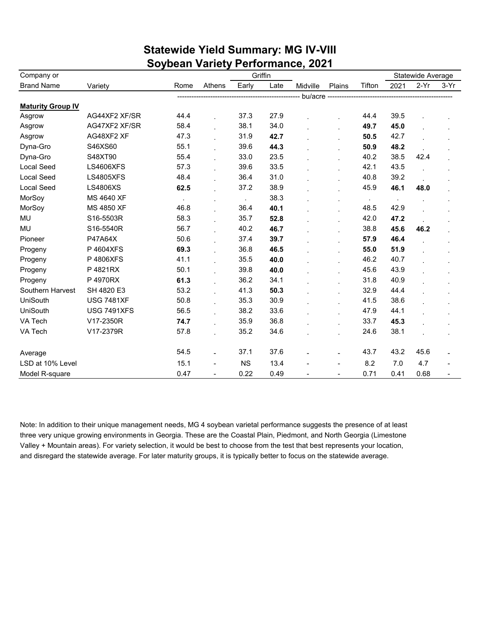| Company or               |                    |        |                |           | Griffin |           |                          |        | Statewide Average |        |        |
|--------------------------|--------------------|--------|----------------|-----------|---------|-----------|--------------------------|--------|-------------------|--------|--------|
| <b>Brand Name</b>        | Variety            | Rome   | Athens         | Early     | Late    | Midville  | Plains                   | Tifton | 2021              | $2-Yr$ | $3-Yr$ |
|                          |                    |        |                |           |         | bu/acre - |                          |        |                   |        |        |
| <b>Maturity Group IV</b> |                    |        |                |           |         |           |                          |        |                   |        |        |
| Asgrow                   | AG44XF2 XF/SR      | 44.4   |                | 37.3      | 27.9    |           |                          | 44.4   | 39.5              |        |        |
| Asgrow                   | AG47XF2 XF/SR      | 58.4   |                | 38.1      | 34.0    |           |                          | 49.7   | 45.0              |        |        |
| Asgrow                   | AG48XF2 XF         | 47.3   |                | 31.9      | 42.7    |           |                          | 50.5   | 42.7              |        |        |
| Dyna-Gro                 | S46XS60            | 55.1   |                | 39.6      | 44.3    |           |                          | 50.9   | 48.2              |        |        |
| Dyna-Gro                 | S48XT90            | 55.4   |                | 33.0      | 23.5    |           |                          | 40.2   | 38.5              | 42.4   |        |
| <b>Local Seed</b>        | <b>LS4606XFS</b>   | 57.3   |                | 39.6      | 33.5    |           |                          | 42.1   | 43.5              |        |        |
| <b>Local Seed</b>        | <b>LS4805XFS</b>   | 48.4   |                | 36.4      | 31.0    |           |                          | 40.8   | 39.2              |        |        |
| <b>Local Seed</b>        | <b>LS4806XS</b>    | 62.5   |                | 37.2      | 38.9    |           |                          | 45.9   | 46.1              | 48.0   |        |
| MorSoy                   | MS 4640 XF         | $\sim$ |                |           | 38.3    |           |                          | $\sim$ | $\cdot$           |        |        |
| MorSoy                   | MS 4850 XF         | 46.8   |                | 36.4      | 40.1    |           |                          | 48.5   | 42.9              |        |        |
| MU                       | S16-5503R          | 58.3   |                | 35.7      | 52.8    |           |                          | 42.0   | 47.2              |        |        |
| MU                       | S16-5540R          | 56.7   |                | 40.2      | 46.7    |           |                          | 38.8   | 45.6              | 46.2   |        |
| Pioneer                  | P47A64X            | 50.6   |                | 37.4      | 39.7    |           |                          | 57.9   | 46.4              |        |        |
| Progeny                  | P4604XFS           | 69.3   |                | 36.8      | 46.5    |           | $\cdot$                  | 55.0   | 51.9              |        |        |
| Progeny                  | P4806XFS           | 41.1   |                | 35.5      | 40.0    |           |                          | 46.2   | 40.7              |        |        |
| Progeny                  | P 4821RX           | 50.1   |                | 39.8      | 40.0    |           |                          | 45.6   | 43.9              |        |        |
| Progeny                  | P4970RX            | 61.3   |                | 36.2      | 34.1    |           |                          | 31.8   | 40.9              |        |        |
| Southern Harvest         | SH 4820 E3         | 53.2   |                | 41.3      | 50.3    |           |                          | 32.9   | 44.4              |        |        |
| UniSouth                 | <b>USG 7481XF</b>  | 50.8   |                | 35.3      | 30.9    |           |                          | 41.5   | 38.6              |        |        |
| <b>UniSouth</b>          | <b>USG 7491XFS</b> | 56.5   |                | 38.2      | 33.6    |           |                          | 47.9   | 44.1              |        |        |
| VA Tech                  | V17-2350R          | 74.7   |                | 35.9      | 36.8    |           |                          | 33.7   | 45.3              |        |        |
| VA Tech                  | V17-2379R          | 57.8   |                | 35.2      | 34.6    |           |                          | 24.6   | 38.1              |        |        |
| Average                  |                    | 54.5   |                | 37.1      | 37.6    |           |                          | 43.7   | 43.2              | 45.6   |        |
| LSD at 10% Level         |                    | 15.1   |                | <b>NS</b> | 13.4    |           |                          | 8.2    | 7.0               | 4.7    |        |
| Model R-square           |                    | 0.47   | $\blacksquare$ | 0.22      | 0.49    |           | $\overline{\phantom{a}}$ | 0.71   | 0.41              | 0.68   |        |

## **Statewide Yield Summary: MG IV-VIII Soybean Variety Performance, 2021**

Note: In addition to their unique management needs, MG 4 soybean varietal performance suggests the presence of at least three very unique growing environments in Georgia. These are the Coastal Plain, Piedmont, and North Georgia (Limestone Valley + Mountain areas). For variety selection, it would be best to choose from the test that best represents your location, and disregard the statewide average. For later maturity groups, it is typically better to focus on the statewide average.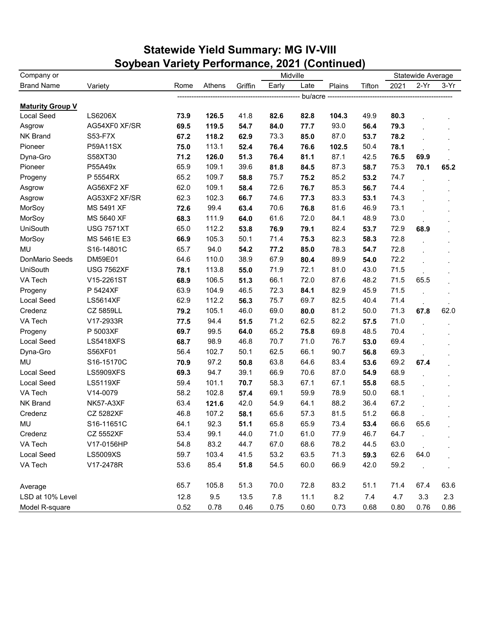## **Statewide Yield Summary: MG IV-VIII Soybean Variety Performance, 2021 (Continued)**

| $2-Yr$<br>Early<br>$3-Yr$<br>Rome<br>Athens<br>Griffin<br>Late<br>Plains<br>Tifton<br>2021<br>Variety<br>bu/acre -<br>LS6206X<br>126.5<br>41.8<br>82.6<br>82.8<br>49.9<br>80.3<br>73.9<br>104.3<br>93.0<br>AG54XF0 XF/SR<br>69.5<br>119.5<br>84.0<br>56.4<br>79.3<br>54.7<br>77.7<br>87.0<br>S53-F7X<br>118.2<br>62.9<br>73.3<br>85.0<br>78.2<br>67.2<br>53.7<br>113.1<br>50.4<br>P59A11SX<br>75.0<br>52.4<br>78.1<br>76.4<br>76.6<br>102.5<br>42.5<br>S58XT30<br>71.2<br>126.0<br>51.3<br>76.4<br>81.1<br>87.1<br>76.5<br>69.9<br>P55A49x<br>65.9<br>109.1<br>39.6<br>81.8<br>84.5<br>87.3<br>58.7<br>75.3<br>70.1<br>65.2<br>75.7<br>74.7<br>P 5554RX<br>65.2<br>109.7<br>58.8<br>75.2<br>85.2<br>53.2<br>109.1<br>AG56XF2 XF<br>62.0<br>58.4<br>72.6<br>76.7<br>85.3<br>56.7<br>74.4<br>AG53XF2 XF/SR<br>62.3<br>102.3<br>66.7<br>74.6<br>83.3<br>53.1<br>74.3<br>77.3<br>99.4<br>46.9<br>MS 5491 XF<br>63.4<br>70.6<br>81.6<br>73.1<br>72.6<br>76.8<br>111.9<br>61.6<br>MS 5640 XF<br>64.0<br>72.0<br>84.1<br>48.9<br>73.0<br>68.3<br>65.0<br>112.2<br><b>USG 7571XT</b><br>53.8<br>76.9<br>79.1<br>82.4<br>53.7<br>72.9<br>68.9<br>105.3<br>71.4<br>MS 5461E E3<br>66.9<br>50.1<br>75.3<br>82.3<br>58.3<br>72.8<br>94.0<br>78.3<br>72.8<br>S16-14801C<br>65.7<br>54.2<br>77.2<br>85.0<br>54.7<br>64.6<br>110.0<br>38.9<br>67.9<br>89.9<br>72.2<br>DM59E01<br>80.4<br>54.0<br>113.8<br>72.1<br>43.0<br>71.5<br>55.0<br>71.9<br>81.0<br><b>USG 7562XF</b><br>78.1<br>106.5<br>72.0<br>48.2<br>71.5<br>V15-2261ST<br>51.3<br>66.1<br>87.6<br>65.5<br>68.9<br>P 5424XF<br>63.9<br>104.9<br>46.5<br>72.3<br>45.9<br>71.5<br>84.1<br>82.9<br>112.2<br>75.7<br>69.7<br>40.4<br><b>LS5614XF</b><br>62.9<br>56.3<br>82.5<br>71.4<br>105.1<br>69.0<br>81.2<br>50.0<br>CZ 5859LL<br>79.2<br>46.0<br>80.0<br>71.3<br>62.0<br>67.8<br>94.4<br>62.5<br>V17-2933R<br>71.2<br>82.2<br>71.0<br>77.5<br>51.5<br>57.5<br>99.5<br>65.2<br>48.5<br>P 5003XF<br>69.8<br>70.4<br>69.7<br>64.0<br>75.8<br>46.8<br><b>LS5418XFS</b><br>68.7<br>98.9<br>70.7<br>71.0<br>76.7<br>53.0<br>69.4<br>56.8<br>S56XF01<br>56.4<br>102.7<br>50.1<br>62.5<br>66.1<br>90.7<br>69.3<br>97.2<br>63.8<br>83.4<br>69.2<br>S16-15170C<br>50.8<br>64.6<br>53.6<br>67.4<br>70.9<br>94.7<br>39.1<br>66.9<br>68.9<br><b>LS5909XFS</b><br>69.3<br>70.6<br>87.0<br>54.9<br>58.3<br>68.5<br><b>LS5119XF</b><br>59.4<br>101.1<br>70.7<br>67.1<br>67.1<br>55.8<br>50.0<br>68.1<br>V14-0079<br>58.2<br>102.8<br>57.4<br>69.1<br>59.9<br>78.9<br>63.4<br>42.0<br>54.9<br>64.1<br>88.2<br>36.4<br>67.2<br>NK57-A3XF<br>121.6<br>107.2<br>65.6<br>81.5<br>51.2<br>66.8<br><b>CZ 5282XF</b><br>46.8<br>58.1<br>57.3<br>65.9<br>92.3<br>65.8<br>S16-11651C<br>64.1<br>51.1<br>73.4<br>53.4<br>66.6<br>65.6<br>64.7<br>53.4<br>99.1<br>44.0<br>71.0<br>77.9<br>46.7<br><b>CZ 5552XF</b><br>61.0<br>83.2<br>44.5<br>63.0<br>V17-0156HP<br>54.8<br>44.7<br>67.0<br>68.6<br>78.2<br>41.5<br><b>LS5009XS</b><br>59.7<br>103.4<br>53.2<br>63.5<br>71.3<br>59.3<br>62.6<br>64.0<br>V17-2478R<br>53.6<br>85.4<br>54.5<br>60.0<br>66.9<br>42.0<br>59.2<br>51.8<br>65.7<br>105.8<br>51.3<br>70.0<br>72.8<br>83.2<br>51.1<br>71.4<br>67.4<br>63.6<br>Average | Company or              |      |     |      |     | Midville |     |     |     | Statewide Average |     |
|------------------------------------------------------------------------------------------------------------------------------------------------------------------------------------------------------------------------------------------------------------------------------------------------------------------------------------------------------------------------------------------------------------------------------------------------------------------------------------------------------------------------------------------------------------------------------------------------------------------------------------------------------------------------------------------------------------------------------------------------------------------------------------------------------------------------------------------------------------------------------------------------------------------------------------------------------------------------------------------------------------------------------------------------------------------------------------------------------------------------------------------------------------------------------------------------------------------------------------------------------------------------------------------------------------------------------------------------------------------------------------------------------------------------------------------------------------------------------------------------------------------------------------------------------------------------------------------------------------------------------------------------------------------------------------------------------------------------------------------------------------------------------------------------------------------------------------------------------------------------------------------------------------------------------------------------------------------------------------------------------------------------------------------------------------------------------------------------------------------------------------------------------------------------------------------------------------------------------------------------------------------------------------------------------------------------------------------------------------------------------------------------------------------------------------------------------------------------------------------------------------------------------------------------------------------------------------------------------------------------------------------------------------------------------------------------------------------------------------------------------------------------------------------------------------------------------------------------------------------------------------------------------------------------------------------------------------------------------------------------------------------------------------------------------------------------------------------------------------------------------------------------------------------------------------------------|-------------------------|------|-----|------|-----|----------|-----|-----|-----|-------------------|-----|
|                                                                                                                                                                                                                                                                                                                                                                                                                                                                                                                                                                                                                                                                                                                                                                                                                                                                                                                                                                                                                                                                                                                                                                                                                                                                                                                                                                                                                                                                                                                                                                                                                                                                                                                                                                                                                                                                                                                                                                                                                                                                                                                                                                                                                                                                                                                                                                                                                                                                                                                                                                                                                                                                                                                                                                                                                                                                                                                                                                                                                                                                                                                                                                                                | <b>Brand Name</b>       |      |     |      |     |          |     |     |     |                   |     |
|                                                                                                                                                                                                                                                                                                                                                                                                                                                                                                                                                                                                                                                                                                                                                                                                                                                                                                                                                                                                                                                                                                                                                                                                                                                                                                                                                                                                                                                                                                                                                                                                                                                                                                                                                                                                                                                                                                                                                                                                                                                                                                                                                                                                                                                                                                                                                                                                                                                                                                                                                                                                                                                                                                                                                                                                                                                                                                                                                                                                                                                                                                                                                                                                |                         |      |     |      |     |          |     |     |     |                   |     |
|                                                                                                                                                                                                                                                                                                                                                                                                                                                                                                                                                                                                                                                                                                                                                                                                                                                                                                                                                                                                                                                                                                                                                                                                                                                                                                                                                                                                                                                                                                                                                                                                                                                                                                                                                                                                                                                                                                                                                                                                                                                                                                                                                                                                                                                                                                                                                                                                                                                                                                                                                                                                                                                                                                                                                                                                                                                                                                                                                                                                                                                                                                                                                                                                | <b>Maturity Group V</b> |      |     |      |     |          |     |     |     |                   |     |
|                                                                                                                                                                                                                                                                                                                                                                                                                                                                                                                                                                                                                                                                                                                                                                                                                                                                                                                                                                                                                                                                                                                                                                                                                                                                                                                                                                                                                                                                                                                                                                                                                                                                                                                                                                                                                                                                                                                                                                                                                                                                                                                                                                                                                                                                                                                                                                                                                                                                                                                                                                                                                                                                                                                                                                                                                                                                                                                                                                                                                                                                                                                                                                                                | Local Seed              |      |     |      |     |          |     |     |     |                   |     |
|                                                                                                                                                                                                                                                                                                                                                                                                                                                                                                                                                                                                                                                                                                                                                                                                                                                                                                                                                                                                                                                                                                                                                                                                                                                                                                                                                                                                                                                                                                                                                                                                                                                                                                                                                                                                                                                                                                                                                                                                                                                                                                                                                                                                                                                                                                                                                                                                                                                                                                                                                                                                                                                                                                                                                                                                                                                                                                                                                                                                                                                                                                                                                                                                | Asgrow                  |      |     |      |     |          |     |     |     |                   |     |
|                                                                                                                                                                                                                                                                                                                                                                                                                                                                                                                                                                                                                                                                                                                                                                                                                                                                                                                                                                                                                                                                                                                                                                                                                                                                                                                                                                                                                                                                                                                                                                                                                                                                                                                                                                                                                                                                                                                                                                                                                                                                                                                                                                                                                                                                                                                                                                                                                                                                                                                                                                                                                                                                                                                                                                                                                                                                                                                                                                                                                                                                                                                                                                                                | NK Brand                |      |     |      |     |          |     |     |     |                   |     |
|                                                                                                                                                                                                                                                                                                                                                                                                                                                                                                                                                                                                                                                                                                                                                                                                                                                                                                                                                                                                                                                                                                                                                                                                                                                                                                                                                                                                                                                                                                                                                                                                                                                                                                                                                                                                                                                                                                                                                                                                                                                                                                                                                                                                                                                                                                                                                                                                                                                                                                                                                                                                                                                                                                                                                                                                                                                                                                                                                                                                                                                                                                                                                                                                | Pioneer                 |      |     |      |     |          |     |     |     |                   |     |
|                                                                                                                                                                                                                                                                                                                                                                                                                                                                                                                                                                                                                                                                                                                                                                                                                                                                                                                                                                                                                                                                                                                                                                                                                                                                                                                                                                                                                                                                                                                                                                                                                                                                                                                                                                                                                                                                                                                                                                                                                                                                                                                                                                                                                                                                                                                                                                                                                                                                                                                                                                                                                                                                                                                                                                                                                                                                                                                                                                                                                                                                                                                                                                                                | Dyna-Gro                |      |     |      |     |          |     |     |     |                   |     |
|                                                                                                                                                                                                                                                                                                                                                                                                                                                                                                                                                                                                                                                                                                                                                                                                                                                                                                                                                                                                                                                                                                                                                                                                                                                                                                                                                                                                                                                                                                                                                                                                                                                                                                                                                                                                                                                                                                                                                                                                                                                                                                                                                                                                                                                                                                                                                                                                                                                                                                                                                                                                                                                                                                                                                                                                                                                                                                                                                                                                                                                                                                                                                                                                | Pioneer                 |      |     |      |     |          |     |     |     |                   |     |
|                                                                                                                                                                                                                                                                                                                                                                                                                                                                                                                                                                                                                                                                                                                                                                                                                                                                                                                                                                                                                                                                                                                                                                                                                                                                                                                                                                                                                                                                                                                                                                                                                                                                                                                                                                                                                                                                                                                                                                                                                                                                                                                                                                                                                                                                                                                                                                                                                                                                                                                                                                                                                                                                                                                                                                                                                                                                                                                                                                                                                                                                                                                                                                                                | Progeny                 |      |     |      |     |          |     |     |     |                   |     |
|                                                                                                                                                                                                                                                                                                                                                                                                                                                                                                                                                                                                                                                                                                                                                                                                                                                                                                                                                                                                                                                                                                                                                                                                                                                                                                                                                                                                                                                                                                                                                                                                                                                                                                                                                                                                                                                                                                                                                                                                                                                                                                                                                                                                                                                                                                                                                                                                                                                                                                                                                                                                                                                                                                                                                                                                                                                                                                                                                                                                                                                                                                                                                                                                | Asgrow                  |      |     |      |     |          |     |     |     |                   |     |
|                                                                                                                                                                                                                                                                                                                                                                                                                                                                                                                                                                                                                                                                                                                                                                                                                                                                                                                                                                                                                                                                                                                                                                                                                                                                                                                                                                                                                                                                                                                                                                                                                                                                                                                                                                                                                                                                                                                                                                                                                                                                                                                                                                                                                                                                                                                                                                                                                                                                                                                                                                                                                                                                                                                                                                                                                                                                                                                                                                                                                                                                                                                                                                                                | Asgrow                  |      |     |      |     |          |     |     |     |                   |     |
|                                                                                                                                                                                                                                                                                                                                                                                                                                                                                                                                                                                                                                                                                                                                                                                                                                                                                                                                                                                                                                                                                                                                                                                                                                                                                                                                                                                                                                                                                                                                                                                                                                                                                                                                                                                                                                                                                                                                                                                                                                                                                                                                                                                                                                                                                                                                                                                                                                                                                                                                                                                                                                                                                                                                                                                                                                                                                                                                                                                                                                                                                                                                                                                                | MorSoy                  |      |     |      |     |          |     |     |     |                   |     |
|                                                                                                                                                                                                                                                                                                                                                                                                                                                                                                                                                                                                                                                                                                                                                                                                                                                                                                                                                                                                                                                                                                                                                                                                                                                                                                                                                                                                                                                                                                                                                                                                                                                                                                                                                                                                                                                                                                                                                                                                                                                                                                                                                                                                                                                                                                                                                                                                                                                                                                                                                                                                                                                                                                                                                                                                                                                                                                                                                                                                                                                                                                                                                                                                | MorSoy                  |      |     |      |     |          |     |     |     |                   |     |
|                                                                                                                                                                                                                                                                                                                                                                                                                                                                                                                                                                                                                                                                                                                                                                                                                                                                                                                                                                                                                                                                                                                                                                                                                                                                                                                                                                                                                                                                                                                                                                                                                                                                                                                                                                                                                                                                                                                                                                                                                                                                                                                                                                                                                                                                                                                                                                                                                                                                                                                                                                                                                                                                                                                                                                                                                                                                                                                                                                                                                                                                                                                                                                                                | UniSouth                |      |     |      |     |          |     |     |     |                   |     |
|                                                                                                                                                                                                                                                                                                                                                                                                                                                                                                                                                                                                                                                                                                                                                                                                                                                                                                                                                                                                                                                                                                                                                                                                                                                                                                                                                                                                                                                                                                                                                                                                                                                                                                                                                                                                                                                                                                                                                                                                                                                                                                                                                                                                                                                                                                                                                                                                                                                                                                                                                                                                                                                                                                                                                                                                                                                                                                                                                                                                                                                                                                                                                                                                | MorSoy                  |      |     |      |     |          |     |     |     |                   |     |
|                                                                                                                                                                                                                                                                                                                                                                                                                                                                                                                                                                                                                                                                                                                                                                                                                                                                                                                                                                                                                                                                                                                                                                                                                                                                                                                                                                                                                                                                                                                                                                                                                                                                                                                                                                                                                                                                                                                                                                                                                                                                                                                                                                                                                                                                                                                                                                                                                                                                                                                                                                                                                                                                                                                                                                                                                                                                                                                                                                                                                                                                                                                                                                                                | <b>MU</b>               |      |     |      |     |          |     |     |     |                   |     |
|                                                                                                                                                                                                                                                                                                                                                                                                                                                                                                                                                                                                                                                                                                                                                                                                                                                                                                                                                                                                                                                                                                                                                                                                                                                                                                                                                                                                                                                                                                                                                                                                                                                                                                                                                                                                                                                                                                                                                                                                                                                                                                                                                                                                                                                                                                                                                                                                                                                                                                                                                                                                                                                                                                                                                                                                                                                                                                                                                                                                                                                                                                                                                                                                | DonMario Seeds          |      |     |      |     |          |     |     |     |                   |     |
|                                                                                                                                                                                                                                                                                                                                                                                                                                                                                                                                                                                                                                                                                                                                                                                                                                                                                                                                                                                                                                                                                                                                                                                                                                                                                                                                                                                                                                                                                                                                                                                                                                                                                                                                                                                                                                                                                                                                                                                                                                                                                                                                                                                                                                                                                                                                                                                                                                                                                                                                                                                                                                                                                                                                                                                                                                                                                                                                                                                                                                                                                                                                                                                                | UniSouth                |      |     |      |     |          |     |     |     |                   |     |
|                                                                                                                                                                                                                                                                                                                                                                                                                                                                                                                                                                                                                                                                                                                                                                                                                                                                                                                                                                                                                                                                                                                                                                                                                                                                                                                                                                                                                                                                                                                                                                                                                                                                                                                                                                                                                                                                                                                                                                                                                                                                                                                                                                                                                                                                                                                                                                                                                                                                                                                                                                                                                                                                                                                                                                                                                                                                                                                                                                                                                                                                                                                                                                                                | VA Tech                 |      |     |      |     |          |     |     |     |                   |     |
|                                                                                                                                                                                                                                                                                                                                                                                                                                                                                                                                                                                                                                                                                                                                                                                                                                                                                                                                                                                                                                                                                                                                                                                                                                                                                                                                                                                                                                                                                                                                                                                                                                                                                                                                                                                                                                                                                                                                                                                                                                                                                                                                                                                                                                                                                                                                                                                                                                                                                                                                                                                                                                                                                                                                                                                                                                                                                                                                                                                                                                                                                                                                                                                                | Progeny                 |      |     |      |     |          |     |     |     |                   |     |
|                                                                                                                                                                                                                                                                                                                                                                                                                                                                                                                                                                                                                                                                                                                                                                                                                                                                                                                                                                                                                                                                                                                                                                                                                                                                                                                                                                                                                                                                                                                                                                                                                                                                                                                                                                                                                                                                                                                                                                                                                                                                                                                                                                                                                                                                                                                                                                                                                                                                                                                                                                                                                                                                                                                                                                                                                                                                                                                                                                                                                                                                                                                                                                                                | Local Seed              |      |     |      |     |          |     |     |     |                   |     |
|                                                                                                                                                                                                                                                                                                                                                                                                                                                                                                                                                                                                                                                                                                                                                                                                                                                                                                                                                                                                                                                                                                                                                                                                                                                                                                                                                                                                                                                                                                                                                                                                                                                                                                                                                                                                                                                                                                                                                                                                                                                                                                                                                                                                                                                                                                                                                                                                                                                                                                                                                                                                                                                                                                                                                                                                                                                                                                                                                                                                                                                                                                                                                                                                | Credenz                 |      |     |      |     |          |     |     |     |                   |     |
|                                                                                                                                                                                                                                                                                                                                                                                                                                                                                                                                                                                                                                                                                                                                                                                                                                                                                                                                                                                                                                                                                                                                                                                                                                                                                                                                                                                                                                                                                                                                                                                                                                                                                                                                                                                                                                                                                                                                                                                                                                                                                                                                                                                                                                                                                                                                                                                                                                                                                                                                                                                                                                                                                                                                                                                                                                                                                                                                                                                                                                                                                                                                                                                                | VA Tech                 |      |     |      |     |          |     |     |     |                   |     |
|                                                                                                                                                                                                                                                                                                                                                                                                                                                                                                                                                                                                                                                                                                                                                                                                                                                                                                                                                                                                                                                                                                                                                                                                                                                                                                                                                                                                                                                                                                                                                                                                                                                                                                                                                                                                                                                                                                                                                                                                                                                                                                                                                                                                                                                                                                                                                                                                                                                                                                                                                                                                                                                                                                                                                                                                                                                                                                                                                                                                                                                                                                                                                                                                | Progeny                 |      |     |      |     |          |     |     |     |                   |     |
|                                                                                                                                                                                                                                                                                                                                                                                                                                                                                                                                                                                                                                                                                                                                                                                                                                                                                                                                                                                                                                                                                                                                                                                                                                                                                                                                                                                                                                                                                                                                                                                                                                                                                                                                                                                                                                                                                                                                                                                                                                                                                                                                                                                                                                                                                                                                                                                                                                                                                                                                                                                                                                                                                                                                                                                                                                                                                                                                                                                                                                                                                                                                                                                                | Local Seed              |      |     |      |     |          |     |     |     |                   |     |
|                                                                                                                                                                                                                                                                                                                                                                                                                                                                                                                                                                                                                                                                                                                                                                                                                                                                                                                                                                                                                                                                                                                                                                                                                                                                                                                                                                                                                                                                                                                                                                                                                                                                                                                                                                                                                                                                                                                                                                                                                                                                                                                                                                                                                                                                                                                                                                                                                                                                                                                                                                                                                                                                                                                                                                                                                                                                                                                                                                                                                                                                                                                                                                                                | Dyna-Gro                |      |     |      |     |          |     |     |     |                   |     |
|                                                                                                                                                                                                                                                                                                                                                                                                                                                                                                                                                                                                                                                                                                                                                                                                                                                                                                                                                                                                                                                                                                                                                                                                                                                                                                                                                                                                                                                                                                                                                                                                                                                                                                                                                                                                                                                                                                                                                                                                                                                                                                                                                                                                                                                                                                                                                                                                                                                                                                                                                                                                                                                                                                                                                                                                                                                                                                                                                                                                                                                                                                                                                                                                | <b>MU</b>               |      |     |      |     |          |     |     |     |                   |     |
|                                                                                                                                                                                                                                                                                                                                                                                                                                                                                                                                                                                                                                                                                                                                                                                                                                                                                                                                                                                                                                                                                                                                                                                                                                                                                                                                                                                                                                                                                                                                                                                                                                                                                                                                                                                                                                                                                                                                                                                                                                                                                                                                                                                                                                                                                                                                                                                                                                                                                                                                                                                                                                                                                                                                                                                                                                                                                                                                                                                                                                                                                                                                                                                                | <b>Local Seed</b>       |      |     |      |     |          |     |     |     |                   |     |
|                                                                                                                                                                                                                                                                                                                                                                                                                                                                                                                                                                                                                                                                                                                                                                                                                                                                                                                                                                                                                                                                                                                                                                                                                                                                                                                                                                                                                                                                                                                                                                                                                                                                                                                                                                                                                                                                                                                                                                                                                                                                                                                                                                                                                                                                                                                                                                                                                                                                                                                                                                                                                                                                                                                                                                                                                                                                                                                                                                                                                                                                                                                                                                                                | Local Seed              |      |     |      |     |          |     |     |     |                   |     |
|                                                                                                                                                                                                                                                                                                                                                                                                                                                                                                                                                                                                                                                                                                                                                                                                                                                                                                                                                                                                                                                                                                                                                                                                                                                                                                                                                                                                                                                                                                                                                                                                                                                                                                                                                                                                                                                                                                                                                                                                                                                                                                                                                                                                                                                                                                                                                                                                                                                                                                                                                                                                                                                                                                                                                                                                                                                                                                                                                                                                                                                                                                                                                                                                | VA Tech                 |      |     |      |     |          |     |     |     |                   |     |
|                                                                                                                                                                                                                                                                                                                                                                                                                                                                                                                                                                                                                                                                                                                                                                                                                                                                                                                                                                                                                                                                                                                                                                                                                                                                                                                                                                                                                                                                                                                                                                                                                                                                                                                                                                                                                                                                                                                                                                                                                                                                                                                                                                                                                                                                                                                                                                                                                                                                                                                                                                                                                                                                                                                                                                                                                                                                                                                                                                                                                                                                                                                                                                                                | NK Brand                |      |     |      |     |          |     |     |     |                   |     |
|                                                                                                                                                                                                                                                                                                                                                                                                                                                                                                                                                                                                                                                                                                                                                                                                                                                                                                                                                                                                                                                                                                                                                                                                                                                                                                                                                                                                                                                                                                                                                                                                                                                                                                                                                                                                                                                                                                                                                                                                                                                                                                                                                                                                                                                                                                                                                                                                                                                                                                                                                                                                                                                                                                                                                                                                                                                                                                                                                                                                                                                                                                                                                                                                | Credenz                 |      |     |      |     |          |     |     |     |                   |     |
|                                                                                                                                                                                                                                                                                                                                                                                                                                                                                                                                                                                                                                                                                                                                                                                                                                                                                                                                                                                                                                                                                                                                                                                                                                                                                                                                                                                                                                                                                                                                                                                                                                                                                                                                                                                                                                                                                                                                                                                                                                                                                                                                                                                                                                                                                                                                                                                                                                                                                                                                                                                                                                                                                                                                                                                                                                                                                                                                                                                                                                                                                                                                                                                                | MU                      |      |     |      |     |          |     |     |     |                   |     |
|                                                                                                                                                                                                                                                                                                                                                                                                                                                                                                                                                                                                                                                                                                                                                                                                                                                                                                                                                                                                                                                                                                                                                                                                                                                                                                                                                                                                                                                                                                                                                                                                                                                                                                                                                                                                                                                                                                                                                                                                                                                                                                                                                                                                                                                                                                                                                                                                                                                                                                                                                                                                                                                                                                                                                                                                                                                                                                                                                                                                                                                                                                                                                                                                | Credenz                 |      |     |      |     |          |     |     |     |                   |     |
|                                                                                                                                                                                                                                                                                                                                                                                                                                                                                                                                                                                                                                                                                                                                                                                                                                                                                                                                                                                                                                                                                                                                                                                                                                                                                                                                                                                                                                                                                                                                                                                                                                                                                                                                                                                                                                                                                                                                                                                                                                                                                                                                                                                                                                                                                                                                                                                                                                                                                                                                                                                                                                                                                                                                                                                                                                                                                                                                                                                                                                                                                                                                                                                                | VA Tech                 |      |     |      |     |          |     |     |     |                   |     |
|                                                                                                                                                                                                                                                                                                                                                                                                                                                                                                                                                                                                                                                                                                                                                                                                                                                                                                                                                                                                                                                                                                                                                                                                                                                                                                                                                                                                                                                                                                                                                                                                                                                                                                                                                                                                                                                                                                                                                                                                                                                                                                                                                                                                                                                                                                                                                                                                                                                                                                                                                                                                                                                                                                                                                                                                                                                                                                                                                                                                                                                                                                                                                                                                | Local Seed              |      |     |      |     |          |     |     |     |                   |     |
|                                                                                                                                                                                                                                                                                                                                                                                                                                                                                                                                                                                                                                                                                                                                                                                                                                                                                                                                                                                                                                                                                                                                                                                                                                                                                                                                                                                                                                                                                                                                                                                                                                                                                                                                                                                                                                                                                                                                                                                                                                                                                                                                                                                                                                                                                                                                                                                                                                                                                                                                                                                                                                                                                                                                                                                                                                                                                                                                                                                                                                                                                                                                                                                                | VA Tech                 |      |     |      |     |          |     |     |     |                   |     |
|                                                                                                                                                                                                                                                                                                                                                                                                                                                                                                                                                                                                                                                                                                                                                                                                                                                                                                                                                                                                                                                                                                                                                                                                                                                                                                                                                                                                                                                                                                                                                                                                                                                                                                                                                                                                                                                                                                                                                                                                                                                                                                                                                                                                                                                                                                                                                                                                                                                                                                                                                                                                                                                                                                                                                                                                                                                                                                                                                                                                                                                                                                                                                                                                |                         |      |     |      |     |          |     |     |     |                   |     |
|                                                                                                                                                                                                                                                                                                                                                                                                                                                                                                                                                                                                                                                                                                                                                                                                                                                                                                                                                                                                                                                                                                                                                                                                                                                                                                                                                                                                                                                                                                                                                                                                                                                                                                                                                                                                                                                                                                                                                                                                                                                                                                                                                                                                                                                                                                                                                                                                                                                                                                                                                                                                                                                                                                                                                                                                                                                                                                                                                                                                                                                                                                                                                                                                | LSD at 10% Level        | 12.8 | 9.5 | 13.5 | 7.8 | 11.1     | 8.2 | 7.4 | 4.7 | 3.3               | 2.3 |
| 0.52<br>0.78<br>0.46<br>0.75<br>0.60<br>0.73<br>0.68<br>0.80<br>0.76<br>0.86                                                                                                                                                                                                                                                                                                                                                                                                                                                                                                                                                                                                                                                                                                                                                                                                                                                                                                                                                                                                                                                                                                                                                                                                                                                                                                                                                                                                                                                                                                                                                                                                                                                                                                                                                                                                                                                                                                                                                                                                                                                                                                                                                                                                                                                                                                                                                                                                                                                                                                                                                                                                                                                                                                                                                                                                                                                                                                                                                                                                                                                                                                                   | Model R-square          |      |     |      |     |          |     |     |     |                   |     |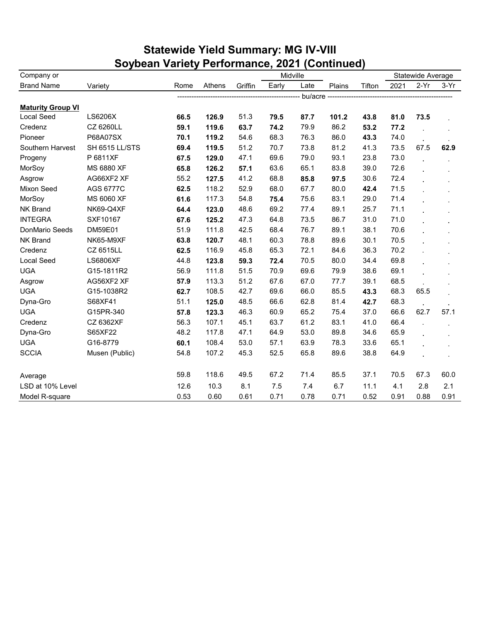|                          | Soybean Variety Performance, 2021 (Continued) |      |        |         |       |          |        |        |      |                   |        |
|--------------------------|-----------------------------------------------|------|--------|---------|-------|----------|--------|--------|------|-------------------|--------|
| Company or               |                                               |      |        |         |       | Midville |        |        |      | Statewide Average |        |
| <b>Brand Name</b>        | Variety                                       | Rome | Athens | Griffin | Early | Late     | Plains | Tifton | 2021 | $2-Yr$            | $3-Yr$ |
|                          |                                               |      |        |         |       | bu/acre  |        |        |      |                   |        |
| <b>Maturity Group VI</b> |                                               |      |        |         |       |          |        |        |      |                   |        |
| Local Seed               | LS6206X                                       | 66.5 | 126.9  | 51.3    | 79.5  | 87.7     | 101.2  | 43.8   | 81.0 | 73.5              |        |
| Credenz                  | CZ 6260LL                                     | 59.1 | 119.6  | 63.7    | 74.2  | 79.9     | 86.2   | 53.2   | 77.2 |                   |        |
| Pioneer                  | P68A07SX                                      | 70.1 | 119.2  | 54.6    | 68.3  | 76.3     | 86.0   | 43.3   | 74.0 |                   |        |
| Southern Harvest         | SH 6515 LL/STS                                | 69.4 | 119.5  | 51.2    | 70.7  | 73.8     | 81.2   | 41.3   | 73.5 | 67.5              | 62.9   |
| Progeny                  | P 6811XF                                      | 67.5 | 129.0  | 47.1    | 69.6  | 79.0     | 93.1   | 23.8   | 73.0 |                   |        |
| MorSoy                   | MS 6880 XF                                    | 65.8 | 126.2  | 57.1    | 63.6  | 65.1     | 83.8   | 39.0   | 72.6 |                   |        |
| Asgrow                   | AG66XF2 XF                                    | 55.2 | 127.5  | 41.2    | 68.8  | 85.8     | 97.5   | 30.6   | 72.4 |                   |        |
| Mixon Seed               | AGS 6777C                                     | 62.5 | 118.2  | 52.9    | 68.0  | 67.7     | 80.0   | 42.4   | 71.5 |                   |        |
| MorSoy                   | MS 6060 XF                                    | 61.6 | 117.3  | 54.8    | 75.4  | 75.6     | 83.1   | 29.0   | 71.4 |                   |        |
| NK Brand                 | NK69-Q4XF                                     | 64.4 | 123.0  | 48.6    | 69.2  | 77.4     | 89.1   | 25.7   | 71.1 |                   |        |
| <b>INTEGRA</b>           | SXF10167                                      | 67.6 | 125.2  | 47.3    | 64.8  | 73.5     | 86.7   | 31.0   | 71.0 |                   |        |
| DonMario Seeds           | DM59E01                                       | 51.9 | 111.8  | 42.5    | 68.4  | 76.7     | 89.1   | 38.1   | 70.6 |                   |        |
| <b>NK Brand</b>          | NK65-M9XF                                     | 63.8 | 120.7  | 48.1    | 60.3  | 78.8     | 89.6   | 30.1   | 70.5 |                   |        |
| Credenz                  | CZ 6515LL                                     | 62.5 | 116.9  | 45.8    | 65.3  | 72.1     | 84.6   | 36.3   | 70.2 |                   |        |
| Local Seed               | <b>LS6806XF</b>                               | 44.8 | 123.8  | 59.3    | 72.4  | 70.5     | 80.0   | 34.4   | 69.8 |                   |        |
| <b>UGA</b>               | G15-1811R2                                    | 56.9 | 111.8  | 51.5    | 70.9  | 69.6     | 79.9   | 38.6   | 69.1 |                   |        |
| Asgrow                   | AG56XF2 XF                                    | 57.9 | 113.3  | 51.2    | 67.6  | 67.0     | 77.7   | 39.1   | 68.5 |                   |        |
| <b>UGA</b>               | G15-1038R2                                    | 62.7 | 108.5  | 42.7    | 69.6  | 66.0     | 85.5   | 43.3   | 68.3 | 65.5              |        |
| Dyna-Gro                 | S68XF41                                       | 51.1 | 125.0  | 48.5    | 66.6  | 62.8     | 81.4   | 42.7   | 68.3 |                   |        |
| <b>UGA</b>               | G15PR-340                                     | 57.8 | 123.3  | 46.3    | 60.9  | 65.2     | 75.4   | 37.0   | 66.6 | 62.7              | 57.1   |
| Credenz                  | CZ 6362XF                                     | 56.3 | 107.1  | 45.1    | 63.7  | 61.2     | 83.1   | 41.0   | 66.4 |                   |        |
| Dyna-Gro                 | S65XF22                                       | 48.2 | 117.8  | 47.1    | 64.9  | 53.0     | 89.8   | 34.6   | 65.9 |                   |        |
| <b>UGA</b>               | G16-8779                                      | 60.1 | 108.4  | 53.0    | 57.1  | 63.9     | 78.3   | 33.6   | 65.1 |                   |        |
| <b>SCCIA</b>             | Musen (Public)                                | 54.8 | 107.2  | 45.3    | 52.5  | 65.8     | 89.6   | 38.8   | 64.9 |                   |        |
| Average                  |                                               | 59.8 | 118.6  | 49.5    | 67.2  | 71.4     | 85.5   | 37.1   | 70.5 | 67.3              | 60.0   |
| LSD at 10% Level         |                                               | 12.6 | 10.3   | 8.1     | 7.5   | 7.4      | 6.7    | 11.1   | 4.1  | 2.8               | 2.1    |
| Model R-square           |                                               | 0.53 | 0.60   | 0.61    | 0.71  | 0.78     | 0.71   | 0.52   | 0.91 | 0.88              | 0.91   |

## **Statewide Yield Summary: MG IV-VIII**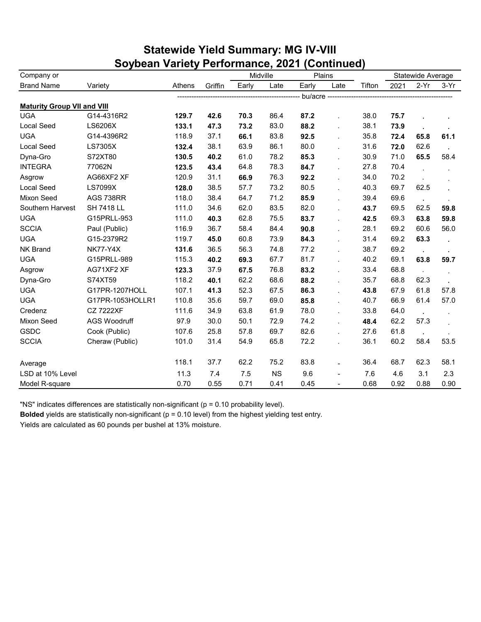| <b>Statewide Yield Summary: MG IV-VIII</b>    |  |
|-----------------------------------------------|--|
| Soybean Variety Performance, 2021 (Continued) |  |

| Company or                         |                     |        |         | Midville |           |             | Plains         |                                    |      | Statewide Average |         |
|------------------------------------|---------------------|--------|---------|----------|-----------|-------------|----------------|------------------------------------|------|-------------------|---------|
| <b>Brand Name</b>                  | Variety             | Athens | Griffin | Early    | Late      | Early       | Late           | Tifton                             | 2021 | $2-Yr$            | $3-Yr$  |
|                                    |                     |        |         |          |           | bu/acre --- |                | ---------------------------------- |      |                   |         |
| <b>Maturity Group VII and VIII</b> |                     |        |         |          |           |             |                |                                    |      |                   |         |
| <b>UGA</b>                         | G14-4316R2          | 129.7  | 42.6    | 70.3     | 86.4      | 87.2        |                | 38.0                               | 75.7 |                   |         |
| <b>Local Seed</b>                  | LS6206X             | 133.1  | 47.3    | 73.2     | 83.0      | 88.2        | $\overline{a}$ | 38.1                               | 73.9 |                   |         |
| <b>UGA</b>                         | G14-4396R2          | 118.9  | 37.1    | 66.1     | 83.8      | 92.5        | L.             | 35.8                               | 72.4 | 65.8              | 61.1    |
| <b>Local Seed</b>                  | LS7305X             | 132.4  | 38.1    | 63.9     | 86.1      | 80.0        | ÷.             | 31.6                               | 72.0 | 62.6              |         |
| Dyna-Gro                           | S72XT80             | 130.5  | 40.2    | 61.0     | 78.2      | 85.3        | L.             | 30.9                               | 71.0 | 65.5              | 58.4    |
| <b>INTEGRA</b>                     | 77062N              | 123.5  | 43.4    | 64.8     | 78.3      | 84.7        | ÷.             | 27.8                               | 70.4 |                   |         |
| Asgrow                             | AG66XF2 XF          | 120.9  | 31.1    | 66.9     | 76.3      | 92.2        | L.             | 34.0                               | 70.2 |                   |         |
| <b>Local Seed</b>                  | <b>LS7099X</b>      | 128.0  | 38.5    | 57.7     | 73.2      | 80.5        |                | 40.3                               | 69.7 | 62.5              |         |
| Mixon Seed                         | AGS 738RR           | 118.0  | 38.4    | 64.7     | 71.2      | 85.9        | L.             | 39.4                               | 69.6 | $\cdot$           |         |
| Southern Harvest                   | <b>SH 7418 LL</b>   | 111.0  | 34.6    | 62.0     | 83.5      | 82.0        | l.             | 43.7                               | 69.5 | 62.5              | 59.8    |
| <b>UGA</b>                         | G15PRLL-953         | 111.0  | 40.3    | 62.8     | 75.5      | 83.7        | l.             | 42.5                               | 69.3 | 63.8              | 59.8    |
| <b>SCCIA</b>                       | Paul (Public)       | 116.9  | 36.7    | 58.4     | 84.4      | 90.8        | L.             | 28.1                               | 69.2 | 60.6              | 56.0    |
| <b>UGA</b>                         | G15-2379R2          | 119.7  | 45.0    | 60.8     | 73.9      | 84.3        | $\mathbf{r}$   | 31.4                               | 69.2 | 63.3              |         |
| <b>NK Brand</b>                    | <b>NK77-Y4X</b>     | 131.6  | 36.5    | 56.3     | 74.8      | 77.2        | Ĭ.             | 38.7                               | 69.2 | $\cdot$           | $\cdot$ |
| <b>UGA</b>                         | G15PRLL-989         | 115.3  | 40.2    | 69.3     | 67.7      | 81.7        | L.             | 40.2                               | 69.1 | 63.8              | 59.7    |
| Asgrow                             | AG71XF2 XF          | 123.3  | 37.9    | 67.5     | 76.8      | 83.2        | L.             | 33.4                               | 68.8 | $\mathbf{r}$      |         |
| Dyna-Gro                           | S74XT59             | 118.2  | 40.1    | 62.2     | 68.6      | 88.2        | $\blacksquare$ | 35.7                               | 68.8 | 62.3              |         |
| <b>UGA</b>                         | G17PR-1207HOLL      | 107.1  | 41.3    | 52.3     | 67.5      | 86.3        | L.             | 43.8                               | 67.9 | 61.8              | 57.8    |
| <b>UGA</b>                         | G17PR-1053HOLLR1    | 110.8  | 35.6    | 59.7     | 69.0      | 85.8        | L.             | 40.7                               | 66.9 | 61.4              | 57.0    |
| Credenz                            | <b>CZ 7222XF</b>    | 111.6  | 34.9    | 63.8     | 61.9      | 78.0        | ÷.             | 33.8                               | 64.0 | $\cdot$           |         |
| Mixon Seed                         | <b>AGS Woodruff</b> | 97.9   | 30.0    | 50.1     | 72.9      | 74.2        | $\mathbf{r}$   | 48.4                               | 62.2 | 57.3              |         |
| GSDC                               | Cook (Public)       | 107.6  | 25.8    | 57.8     | 69.7      | 82.6        |                | 27.6                               | 61.8 |                   |         |
| <b>SCCIA</b>                       | Cheraw (Public)     | 101.0  | 31.4    | 54.9     | 65.8      | 72.2        | ä,             | 36.1                               | 60.2 | 58.4              | 53.5    |
| Average                            |                     | 118.1  | 37.7    | 62.2     | 75.2      | 83.8        |                | 36.4                               | 68.7 | 62.3              | 58.1    |
| LSD at 10% Level                   |                     | 11.3   | 7.4     | 7.5      | <b>NS</b> | 9.6         | $\overline{a}$ | 7.6                                | 4.6  | 3.1               | 2.3     |
| Model R-square                     |                     | 0.70   | 0.55    | 0.71     | 0.41      | 0.45        |                | 0.68                               | 0.92 | 0.88              | 0.90    |

"NS" indicates differences are statistically non-significant (p = 0.10 probability level).

**Bolded** yields are statistically non-significant (p = 0.10 level) from the highest yielding test entry.

Yields are calculated as 60 pounds per bushel at 13% moisture.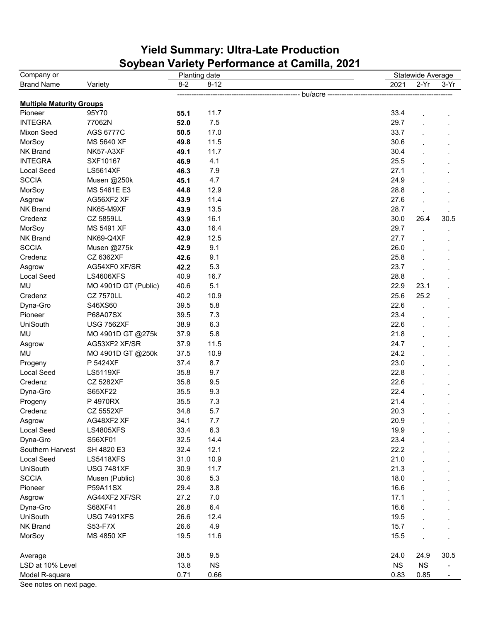## **Yield Summary: Ultra-Late Production Soybean Variety Performance at Camilla, 2021**

| $2-Yr$<br>$8 - 2$<br>$8 - 12$<br><b>Brand Name</b><br>2021<br>$3-Yr$<br>Variety<br>bu/acre ---<br><b>Multiple Maturity Groups</b><br>95Y70<br>11.7<br>Pioneer<br>33.4<br>55.1<br><b>INTEGRA</b><br>7.5<br>29.7<br>77062N<br>52.0<br>17.0<br>33.7<br>Mixon Seed<br>AGS 6777C<br>50.5<br>MorSoy<br>11.5<br>30.6<br>MS 5640 XF<br>49.8<br>NK Brand<br>30.4<br>NK57-A3XF<br>11.7<br>49.1<br><b>INTEGRA</b><br>4.1<br>25.5<br>SXF10167<br>46.9<br>7.9<br>27.1<br>Local Seed<br><b>LS5614XF</b><br>46.3<br><b>SCCIA</b><br>4.7<br>24.9<br>Musen @250k<br>45.1<br>MorSoy<br>12.9<br>28.8<br>MS 5461E E3<br>44.8<br>11.4<br>27.6<br>AG56XF2 XF<br>Asgrow<br>43.9<br><b>NK Brand</b><br>NK65-M9XF<br>13.5<br>28.7<br>43.9<br>16.1<br>30.0<br>Credenz<br>CZ 5859LL<br>26.4<br>30.5<br>43.9<br>29.7<br>MorSoy<br>MS 5491 XF<br>16.4<br>43.0<br>NK Brand<br>12.5<br>27.7<br>NK69-Q4XF<br>42.9<br><b>SCCIA</b><br>9.1<br>26.0<br>Musen @275k<br>42.9<br>9.1<br>25.8<br>Credenz<br>CZ 6362XF<br>42.6<br>5.3<br>23.7<br>Asgrow<br>AG54XF0 XF/SR<br>42.2<br>16.7<br>Local Seed<br><b>LS4606XFS</b><br>40.9<br>28.8<br>5.1<br>MU<br>MO 4901D GT (Public)<br>40.6<br>22.9<br>23.1<br>Credenz<br>25.6<br><b>CZ 7570LL</b><br>40.2<br>10.9<br>25.2<br>5.8<br>22.6<br>Dyna-Gro<br>S46XS60<br>39.5<br>7.3<br>23.4<br>Pioneer<br>P68A07SX<br>39.5<br>6.3<br>UniSouth<br>22.6<br><b>USG 7562XF</b><br>38.9<br>MU<br>5.8<br>21.8<br>MO 4901D GT @275k<br>37.9<br>24.7<br>AG53XF2 XF/SR<br>37.9<br>11.5<br>Asgrow<br>24.2<br>MU<br>MO 4901D GT @250k<br>37.5<br>10.9<br>8.7<br>23.0<br>Progeny<br>P 5424XF<br>37.4<br>9.7<br>22.8<br>Local Seed<br><b>LS5119XF</b><br>35.8<br>9.5<br>22.6<br>Credenz<br><b>CZ 5282XF</b><br>35.8<br>9.3<br>22.4<br>Dyna-Gro<br>S65XF22<br>35.5<br>7.3<br>21.4<br>P 4970RX<br>35.5<br>Progeny<br>5.7<br>20.3<br>Credenz<br><b>CZ 5552XF</b><br>34.8<br>20.9<br>AG48XF2 XF<br>34.1<br>7.7<br>Asgrow<br>6.3<br>Local Seed<br><b>LS4805XFS</b><br>33.4<br>19.9<br>Dyna-Gro<br>32.5<br>14.4<br>23.4<br>S56XF01<br>32.4<br>12.1<br>22.2<br>Southern Harvest<br>SH 4820 E3<br>31.0<br>21.0<br>Local Seed<br><b>LS5418XFS</b><br>10.9<br>UniSouth<br>11.7<br>21.3<br><b>USG 7481XF</b><br>30.9<br><b>SCCIA</b><br>30.6<br>5.3<br>18.0<br>Musen (Public)<br>3.8<br>Pioneer<br>P59A11SX<br>29.4<br>16.6<br>AG44XF2 XF/SR<br>27.2<br>7.0<br>17.1<br>Asgrow<br>6.4<br>16.6<br>Dyna-Gro<br>S68XF41<br>26.8<br><b>UniSouth</b><br><b>USG 7491XFS</b><br>26.6<br>12.4<br>19.5<br><b>NK Brand</b><br>4.9<br>15.7<br>S53-F7X<br>26.6<br>MorSoy<br>MS 4850 XF<br>19.5<br>11.6<br>15.5<br>38.5<br>9.5<br>24.0<br>24.9<br>30.5<br>Average<br>LSD at 10% Level<br>13.8<br>NS<br><b>NS</b><br><b>NS</b> | Company or     |      | Planting date |      | Statewide Average |  |
|-----------------------------------------------------------------------------------------------------------------------------------------------------------------------------------------------------------------------------------------------------------------------------------------------------------------------------------------------------------------------------------------------------------------------------------------------------------------------------------------------------------------------------------------------------------------------------------------------------------------------------------------------------------------------------------------------------------------------------------------------------------------------------------------------------------------------------------------------------------------------------------------------------------------------------------------------------------------------------------------------------------------------------------------------------------------------------------------------------------------------------------------------------------------------------------------------------------------------------------------------------------------------------------------------------------------------------------------------------------------------------------------------------------------------------------------------------------------------------------------------------------------------------------------------------------------------------------------------------------------------------------------------------------------------------------------------------------------------------------------------------------------------------------------------------------------------------------------------------------------------------------------------------------------------------------------------------------------------------------------------------------------------------------------------------------------------------------------------------------------------------------------------------------------------------------------------------------------------------------------------------------------------------------------------------------------------------------------------------------------------------------------------------------------------------------------------------------------------------------------------------------------------------------------------------------------------------------------------------------------------------------------------------------------------------------------|----------------|------|---------------|------|-------------------|--|
|                                                                                                                                                                                                                                                                                                                                                                                                                                                                                                                                                                                                                                                                                                                                                                                                                                                                                                                                                                                                                                                                                                                                                                                                                                                                                                                                                                                                                                                                                                                                                                                                                                                                                                                                                                                                                                                                                                                                                                                                                                                                                                                                                                                                                                                                                                                                                                                                                                                                                                                                                                                                                                                                                         |                |      |               |      |                   |  |
|                                                                                                                                                                                                                                                                                                                                                                                                                                                                                                                                                                                                                                                                                                                                                                                                                                                                                                                                                                                                                                                                                                                                                                                                                                                                                                                                                                                                                                                                                                                                                                                                                                                                                                                                                                                                                                                                                                                                                                                                                                                                                                                                                                                                                                                                                                                                                                                                                                                                                                                                                                                                                                                                                         |                |      |               |      |                   |  |
|                                                                                                                                                                                                                                                                                                                                                                                                                                                                                                                                                                                                                                                                                                                                                                                                                                                                                                                                                                                                                                                                                                                                                                                                                                                                                                                                                                                                                                                                                                                                                                                                                                                                                                                                                                                                                                                                                                                                                                                                                                                                                                                                                                                                                                                                                                                                                                                                                                                                                                                                                                                                                                                                                         |                |      |               |      |                   |  |
|                                                                                                                                                                                                                                                                                                                                                                                                                                                                                                                                                                                                                                                                                                                                                                                                                                                                                                                                                                                                                                                                                                                                                                                                                                                                                                                                                                                                                                                                                                                                                                                                                                                                                                                                                                                                                                                                                                                                                                                                                                                                                                                                                                                                                                                                                                                                                                                                                                                                                                                                                                                                                                                                                         |                |      |               |      |                   |  |
|                                                                                                                                                                                                                                                                                                                                                                                                                                                                                                                                                                                                                                                                                                                                                                                                                                                                                                                                                                                                                                                                                                                                                                                                                                                                                                                                                                                                                                                                                                                                                                                                                                                                                                                                                                                                                                                                                                                                                                                                                                                                                                                                                                                                                                                                                                                                                                                                                                                                                                                                                                                                                                                                                         |                |      |               |      |                   |  |
|                                                                                                                                                                                                                                                                                                                                                                                                                                                                                                                                                                                                                                                                                                                                                                                                                                                                                                                                                                                                                                                                                                                                                                                                                                                                                                                                                                                                                                                                                                                                                                                                                                                                                                                                                                                                                                                                                                                                                                                                                                                                                                                                                                                                                                                                                                                                                                                                                                                                                                                                                                                                                                                                                         |                |      |               |      |                   |  |
|                                                                                                                                                                                                                                                                                                                                                                                                                                                                                                                                                                                                                                                                                                                                                                                                                                                                                                                                                                                                                                                                                                                                                                                                                                                                                                                                                                                                                                                                                                                                                                                                                                                                                                                                                                                                                                                                                                                                                                                                                                                                                                                                                                                                                                                                                                                                                                                                                                                                                                                                                                                                                                                                                         |                |      |               |      |                   |  |
|                                                                                                                                                                                                                                                                                                                                                                                                                                                                                                                                                                                                                                                                                                                                                                                                                                                                                                                                                                                                                                                                                                                                                                                                                                                                                                                                                                                                                                                                                                                                                                                                                                                                                                                                                                                                                                                                                                                                                                                                                                                                                                                                                                                                                                                                                                                                                                                                                                                                                                                                                                                                                                                                                         |                |      |               |      |                   |  |
|                                                                                                                                                                                                                                                                                                                                                                                                                                                                                                                                                                                                                                                                                                                                                                                                                                                                                                                                                                                                                                                                                                                                                                                                                                                                                                                                                                                                                                                                                                                                                                                                                                                                                                                                                                                                                                                                                                                                                                                                                                                                                                                                                                                                                                                                                                                                                                                                                                                                                                                                                                                                                                                                                         |                |      |               |      |                   |  |
|                                                                                                                                                                                                                                                                                                                                                                                                                                                                                                                                                                                                                                                                                                                                                                                                                                                                                                                                                                                                                                                                                                                                                                                                                                                                                                                                                                                                                                                                                                                                                                                                                                                                                                                                                                                                                                                                                                                                                                                                                                                                                                                                                                                                                                                                                                                                                                                                                                                                                                                                                                                                                                                                                         |                |      |               |      |                   |  |
|                                                                                                                                                                                                                                                                                                                                                                                                                                                                                                                                                                                                                                                                                                                                                                                                                                                                                                                                                                                                                                                                                                                                                                                                                                                                                                                                                                                                                                                                                                                                                                                                                                                                                                                                                                                                                                                                                                                                                                                                                                                                                                                                                                                                                                                                                                                                                                                                                                                                                                                                                                                                                                                                                         |                |      |               |      |                   |  |
|                                                                                                                                                                                                                                                                                                                                                                                                                                                                                                                                                                                                                                                                                                                                                                                                                                                                                                                                                                                                                                                                                                                                                                                                                                                                                                                                                                                                                                                                                                                                                                                                                                                                                                                                                                                                                                                                                                                                                                                                                                                                                                                                                                                                                                                                                                                                                                                                                                                                                                                                                                                                                                                                                         |                |      |               |      |                   |  |
|                                                                                                                                                                                                                                                                                                                                                                                                                                                                                                                                                                                                                                                                                                                                                                                                                                                                                                                                                                                                                                                                                                                                                                                                                                                                                                                                                                                                                                                                                                                                                                                                                                                                                                                                                                                                                                                                                                                                                                                                                                                                                                                                                                                                                                                                                                                                                                                                                                                                                                                                                                                                                                                                                         |                |      |               |      |                   |  |
|                                                                                                                                                                                                                                                                                                                                                                                                                                                                                                                                                                                                                                                                                                                                                                                                                                                                                                                                                                                                                                                                                                                                                                                                                                                                                                                                                                                                                                                                                                                                                                                                                                                                                                                                                                                                                                                                                                                                                                                                                                                                                                                                                                                                                                                                                                                                                                                                                                                                                                                                                                                                                                                                                         |                |      |               |      |                   |  |
|                                                                                                                                                                                                                                                                                                                                                                                                                                                                                                                                                                                                                                                                                                                                                                                                                                                                                                                                                                                                                                                                                                                                                                                                                                                                                                                                                                                                                                                                                                                                                                                                                                                                                                                                                                                                                                                                                                                                                                                                                                                                                                                                                                                                                                                                                                                                                                                                                                                                                                                                                                                                                                                                                         |                |      |               |      |                   |  |
|                                                                                                                                                                                                                                                                                                                                                                                                                                                                                                                                                                                                                                                                                                                                                                                                                                                                                                                                                                                                                                                                                                                                                                                                                                                                                                                                                                                                                                                                                                                                                                                                                                                                                                                                                                                                                                                                                                                                                                                                                                                                                                                                                                                                                                                                                                                                                                                                                                                                                                                                                                                                                                                                                         |                |      |               |      |                   |  |
|                                                                                                                                                                                                                                                                                                                                                                                                                                                                                                                                                                                                                                                                                                                                                                                                                                                                                                                                                                                                                                                                                                                                                                                                                                                                                                                                                                                                                                                                                                                                                                                                                                                                                                                                                                                                                                                                                                                                                                                                                                                                                                                                                                                                                                                                                                                                                                                                                                                                                                                                                                                                                                                                                         |                |      |               |      |                   |  |
|                                                                                                                                                                                                                                                                                                                                                                                                                                                                                                                                                                                                                                                                                                                                                                                                                                                                                                                                                                                                                                                                                                                                                                                                                                                                                                                                                                                                                                                                                                                                                                                                                                                                                                                                                                                                                                                                                                                                                                                                                                                                                                                                                                                                                                                                                                                                                                                                                                                                                                                                                                                                                                                                                         |                |      |               |      |                   |  |
|                                                                                                                                                                                                                                                                                                                                                                                                                                                                                                                                                                                                                                                                                                                                                                                                                                                                                                                                                                                                                                                                                                                                                                                                                                                                                                                                                                                                                                                                                                                                                                                                                                                                                                                                                                                                                                                                                                                                                                                                                                                                                                                                                                                                                                                                                                                                                                                                                                                                                                                                                                                                                                                                                         |                |      |               |      |                   |  |
|                                                                                                                                                                                                                                                                                                                                                                                                                                                                                                                                                                                                                                                                                                                                                                                                                                                                                                                                                                                                                                                                                                                                                                                                                                                                                                                                                                                                                                                                                                                                                                                                                                                                                                                                                                                                                                                                                                                                                                                                                                                                                                                                                                                                                                                                                                                                                                                                                                                                                                                                                                                                                                                                                         |                |      |               |      |                   |  |
|                                                                                                                                                                                                                                                                                                                                                                                                                                                                                                                                                                                                                                                                                                                                                                                                                                                                                                                                                                                                                                                                                                                                                                                                                                                                                                                                                                                                                                                                                                                                                                                                                                                                                                                                                                                                                                                                                                                                                                                                                                                                                                                                                                                                                                                                                                                                                                                                                                                                                                                                                                                                                                                                                         |                |      |               |      |                   |  |
|                                                                                                                                                                                                                                                                                                                                                                                                                                                                                                                                                                                                                                                                                                                                                                                                                                                                                                                                                                                                                                                                                                                                                                                                                                                                                                                                                                                                                                                                                                                                                                                                                                                                                                                                                                                                                                                                                                                                                                                                                                                                                                                                                                                                                                                                                                                                                                                                                                                                                                                                                                                                                                                                                         |                |      |               |      |                   |  |
|                                                                                                                                                                                                                                                                                                                                                                                                                                                                                                                                                                                                                                                                                                                                                                                                                                                                                                                                                                                                                                                                                                                                                                                                                                                                                                                                                                                                                                                                                                                                                                                                                                                                                                                                                                                                                                                                                                                                                                                                                                                                                                                                                                                                                                                                                                                                                                                                                                                                                                                                                                                                                                                                                         |                |      |               |      |                   |  |
|                                                                                                                                                                                                                                                                                                                                                                                                                                                                                                                                                                                                                                                                                                                                                                                                                                                                                                                                                                                                                                                                                                                                                                                                                                                                                                                                                                                                                                                                                                                                                                                                                                                                                                                                                                                                                                                                                                                                                                                                                                                                                                                                                                                                                                                                                                                                                                                                                                                                                                                                                                                                                                                                                         |                |      |               |      |                   |  |
|                                                                                                                                                                                                                                                                                                                                                                                                                                                                                                                                                                                                                                                                                                                                                                                                                                                                                                                                                                                                                                                                                                                                                                                                                                                                                                                                                                                                                                                                                                                                                                                                                                                                                                                                                                                                                                                                                                                                                                                                                                                                                                                                                                                                                                                                                                                                                                                                                                                                                                                                                                                                                                                                                         |                |      |               |      |                   |  |
|                                                                                                                                                                                                                                                                                                                                                                                                                                                                                                                                                                                                                                                                                                                                                                                                                                                                                                                                                                                                                                                                                                                                                                                                                                                                                                                                                                                                                                                                                                                                                                                                                                                                                                                                                                                                                                                                                                                                                                                                                                                                                                                                                                                                                                                                                                                                                                                                                                                                                                                                                                                                                                                                                         |                |      |               |      |                   |  |
|                                                                                                                                                                                                                                                                                                                                                                                                                                                                                                                                                                                                                                                                                                                                                                                                                                                                                                                                                                                                                                                                                                                                                                                                                                                                                                                                                                                                                                                                                                                                                                                                                                                                                                                                                                                                                                                                                                                                                                                                                                                                                                                                                                                                                                                                                                                                                                                                                                                                                                                                                                                                                                                                                         |                |      |               |      |                   |  |
|                                                                                                                                                                                                                                                                                                                                                                                                                                                                                                                                                                                                                                                                                                                                                                                                                                                                                                                                                                                                                                                                                                                                                                                                                                                                                                                                                                                                                                                                                                                                                                                                                                                                                                                                                                                                                                                                                                                                                                                                                                                                                                                                                                                                                                                                                                                                                                                                                                                                                                                                                                                                                                                                                         |                |      |               |      |                   |  |
|                                                                                                                                                                                                                                                                                                                                                                                                                                                                                                                                                                                                                                                                                                                                                                                                                                                                                                                                                                                                                                                                                                                                                                                                                                                                                                                                                                                                                                                                                                                                                                                                                                                                                                                                                                                                                                                                                                                                                                                                                                                                                                                                                                                                                                                                                                                                                                                                                                                                                                                                                                                                                                                                                         |                |      |               |      |                   |  |
|                                                                                                                                                                                                                                                                                                                                                                                                                                                                                                                                                                                                                                                                                                                                                                                                                                                                                                                                                                                                                                                                                                                                                                                                                                                                                                                                                                                                                                                                                                                                                                                                                                                                                                                                                                                                                                                                                                                                                                                                                                                                                                                                                                                                                                                                                                                                                                                                                                                                                                                                                                                                                                                                                         |                |      |               |      |                   |  |
|                                                                                                                                                                                                                                                                                                                                                                                                                                                                                                                                                                                                                                                                                                                                                                                                                                                                                                                                                                                                                                                                                                                                                                                                                                                                                                                                                                                                                                                                                                                                                                                                                                                                                                                                                                                                                                                                                                                                                                                                                                                                                                                                                                                                                                                                                                                                                                                                                                                                                                                                                                                                                                                                                         |                |      |               |      |                   |  |
|                                                                                                                                                                                                                                                                                                                                                                                                                                                                                                                                                                                                                                                                                                                                                                                                                                                                                                                                                                                                                                                                                                                                                                                                                                                                                                                                                                                                                                                                                                                                                                                                                                                                                                                                                                                                                                                                                                                                                                                                                                                                                                                                                                                                                                                                                                                                                                                                                                                                                                                                                                                                                                                                                         |                |      |               |      |                   |  |
|                                                                                                                                                                                                                                                                                                                                                                                                                                                                                                                                                                                                                                                                                                                                                                                                                                                                                                                                                                                                                                                                                                                                                                                                                                                                                                                                                                                                                                                                                                                                                                                                                                                                                                                                                                                                                                                                                                                                                                                                                                                                                                                                                                                                                                                                                                                                                                                                                                                                                                                                                                                                                                                                                         |                |      |               |      |                   |  |
|                                                                                                                                                                                                                                                                                                                                                                                                                                                                                                                                                                                                                                                                                                                                                                                                                                                                                                                                                                                                                                                                                                                                                                                                                                                                                                                                                                                                                                                                                                                                                                                                                                                                                                                                                                                                                                                                                                                                                                                                                                                                                                                                                                                                                                                                                                                                                                                                                                                                                                                                                                                                                                                                                         |                |      |               |      |                   |  |
|                                                                                                                                                                                                                                                                                                                                                                                                                                                                                                                                                                                                                                                                                                                                                                                                                                                                                                                                                                                                                                                                                                                                                                                                                                                                                                                                                                                                                                                                                                                                                                                                                                                                                                                                                                                                                                                                                                                                                                                                                                                                                                                                                                                                                                                                                                                                                                                                                                                                                                                                                                                                                                                                                         |                |      |               |      |                   |  |
|                                                                                                                                                                                                                                                                                                                                                                                                                                                                                                                                                                                                                                                                                                                                                                                                                                                                                                                                                                                                                                                                                                                                                                                                                                                                                                                                                                                                                                                                                                                                                                                                                                                                                                                                                                                                                                                                                                                                                                                                                                                                                                                                                                                                                                                                                                                                                                                                                                                                                                                                                                                                                                                                                         |                |      |               |      |                   |  |
|                                                                                                                                                                                                                                                                                                                                                                                                                                                                                                                                                                                                                                                                                                                                                                                                                                                                                                                                                                                                                                                                                                                                                                                                                                                                                                                                                                                                                                                                                                                                                                                                                                                                                                                                                                                                                                                                                                                                                                                                                                                                                                                                                                                                                                                                                                                                                                                                                                                                                                                                                                                                                                                                                         |                |      |               |      |                   |  |
|                                                                                                                                                                                                                                                                                                                                                                                                                                                                                                                                                                                                                                                                                                                                                                                                                                                                                                                                                                                                                                                                                                                                                                                                                                                                                                                                                                                                                                                                                                                                                                                                                                                                                                                                                                                                                                                                                                                                                                                                                                                                                                                                                                                                                                                                                                                                                                                                                                                                                                                                                                                                                                                                                         |                |      |               |      |                   |  |
|                                                                                                                                                                                                                                                                                                                                                                                                                                                                                                                                                                                                                                                                                                                                                                                                                                                                                                                                                                                                                                                                                                                                                                                                                                                                                                                                                                                                                                                                                                                                                                                                                                                                                                                                                                                                                                                                                                                                                                                                                                                                                                                                                                                                                                                                                                                                                                                                                                                                                                                                                                                                                                                                                         |                |      |               |      |                   |  |
|                                                                                                                                                                                                                                                                                                                                                                                                                                                                                                                                                                                                                                                                                                                                                                                                                                                                                                                                                                                                                                                                                                                                                                                                                                                                                                                                                                                                                                                                                                                                                                                                                                                                                                                                                                                                                                                                                                                                                                                                                                                                                                                                                                                                                                                                                                                                                                                                                                                                                                                                                                                                                                                                                         |                |      |               |      |                   |  |
|                                                                                                                                                                                                                                                                                                                                                                                                                                                                                                                                                                                                                                                                                                                                                                                                                                                                                                                                                                                                                                                                                                                                                                                                                                                                                                                                                                                                                                                                                                                                                                                                                                                                                                                                                                                                                                                                                                                                                                                                                                                                                                                                                                                                                                                                                                                                                                                                                                                                                                                                                                                                                                                                                         |                |      |               |      |                   |  |
|                                                                                                                                                                                                                                                                                                                                                                                                                                                                                                                                                                                                                                                                                                                                                                                                                                                                                                                                                                                                                                                                                                                                                                                                                                                                                                                                                                                                                                                                                                                                                                                                                                                                                                                                                                                                                                                                                                                                                                                                                                                                                                                                                                                                                                                                                                                                                                                                                                                                                                                                                                                                                                                                                         |                |      |               |      |                   |  |
|                                                                                                                                                                                                                                                                                                                                                                                                                                                                                                                                                                                                                                                                                                                                                                                                                                                                                                                                                                                                                                                                                                                                                                                                                                                                                                                                                                                                                                                                                                                                                                                                                                                                                                                                                                                                                                                                                                                                                                                                                                                                                                                                                                                                                                                                                                                                                                                                                                                                                                                                                                                                                                                                                         |                |      |               |      |                   |  |
|                                                                                                                                                                                                                                                                                                                                                                                                                                                                                                                                                                                                                                                                                                                                                                                                                                                                                                                                                                                                                                                                                                                                                                                                                                                                                                                                                                                                                                                                                                                                                                                                                                                                                                                                                                                                                                                                                                                                                                                                                                                                                                                                                                                                                                                                                                                                                                                                                                                                                                                                                                                                                                                                                         |                |      |               |      |                   |  |
|                                                                                                                                                                                                                                                                                                                                                                                                                                                                                                                                                                                                                                                                                                                                                                                                                                                                                                                                                                                                                                                                                                                                                                                                                                                                                                                                                                                                                                                                                                                                                                                                                                                                                                                                                                                                                                                                                                                                                                                                                                                                                                                                                                                                                                                                                                                                                                                                                                                                                                                                                                                                                                                                                         |                |      |               |      |                   |  |
|                                                                                                                                                                                                                                                                                                                                                                                                                                                                                                                                                                                                                                                                                                                                                                                                                                                                                                                                                                                                                                                                                                                                                                                                                                                                                                                                                                                                                                                                                                                                                                                                                                                                                                                                                                                                                                                                                                                                                                                                                                                                                                                                                                                                                                                                                                                                                                                                                                                                                                                                                                                                                                                                                         |                |      |               |      |                   |  |
|                                                                                                                                                                                                                                                                                                                                                                                                                                                                                                                                                                                                                                                                                                                                                                                                                                                                                                                                                                                                                                                                                                                                                                                                                                                                                                                                                                                                                                                                                                                                                                                                                                                                                                                                                                                                                                                                                                                                                                                                                                                                                                                                                                                                                                                                                                                                                                                                                                                                                                                                                                                                                                                                                         |                |      |               |      |                   |  |
|                                                                                                                                                                                                                                                                                                                                                                                                                                                                                                                                                                                                                                                                                                                                                                                                                                                                                                                                                                                                                                                                                                                                                                                                                                                                                                                                                                                                                                                                                                                                                                                                                                                                                                                                                                                                                                                                                                                                                                                                                                                                                                                                                                                                                                                                                                                                                                                                                                                                                                                                                                                                                                                                                         |                |      |               |      |                   |  |
|                                                                                                                                                                                                                                                                                                                                                                                                                                                                                                                                                                                                                                                                                                                                                                                                                                                                                                                                                                                                                                                                                                                                                                                                                                                                                                                                                                                                                                                                                                                                                                                                                                                                                                                                                                                                                                                                                                                                                                                                                                                                                                                                                                                                                                                                                                                                                                                                                                                                                                                                                                                                                                                                                         |                |      |               |      |                   |  |
|                                                                                                                                                                                                                                                                                                                                                                                                                                                                                                                                                                                                                                                                                                                                                                                                                                                                                                                                                                                                                                                                                                                                                                                                                                                                                                                                                                                                                                                                                                                                                                                                                                                                                                                                                                                                                                                                                                                                                                                                                                                                                                                                                                                                                                                                                                                                                                                                                                                                                                                                                                                                                                                                                         |                |      |               |      |                   |  |
|                                                                                                                                                                                                                                                                                                                                                                                                                                                                                                                                                                                                                                                                                                                                                                                                                                                                                                                                                                                                                                                                                                                                                                                                                                                                                                                                                                                                                                                                                                                                                                                                                                                                                                                                                                                                                                                                                                                                                                                                                                                                                                                                                                                                                                                                                                                                                                                                                                                                                                                                                                                                                                                                                         |                |      |               |      |                   |  |
|                                                                                                                                                                                                                                                                                                                                                                                                                                                                                                                                                                                                                                                                                                                                                                                                                                                                                                                                                                                                                                                                                                                                                                                                                                                                                                                                                                                                                                                                                                                                                                                                                                                                                                                                                                                                                                                                                                                                                                                                                                                                                                                                                                                                                                                                                                                                                                                                                                                                                                                                                                                                                                                                                         | Model R-square | 0.71 | 0.66          | 0.83 | 0.85              |  |

See notes on next page.